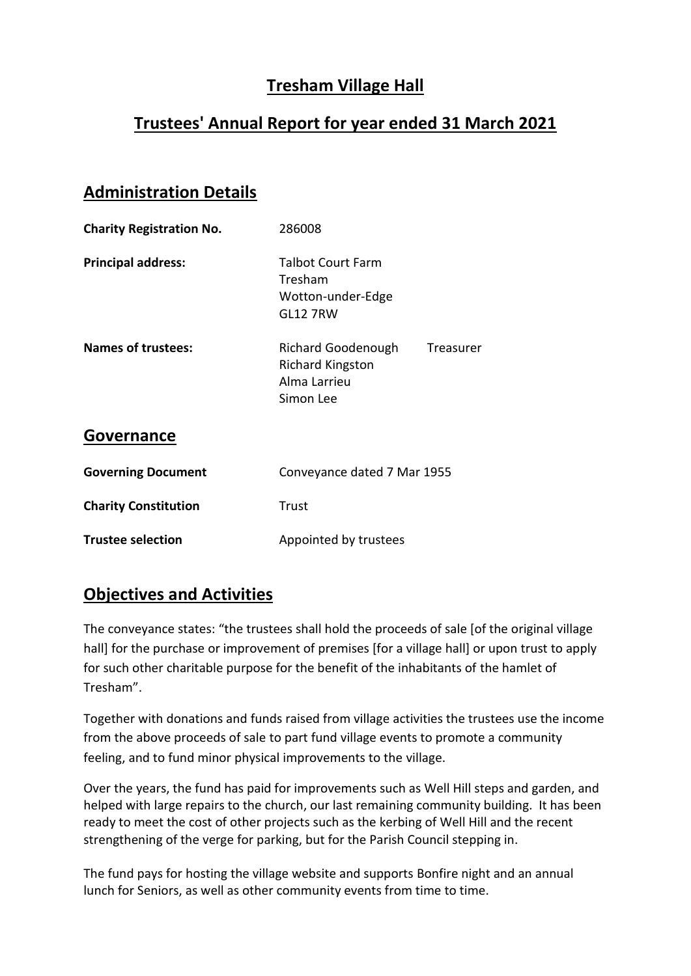# **Tresham Village Hall**

## **Trustees' Annual Report for year ended 31 March 2021**

#### **Administration Details**

| <b>Charity Registration No.</b> | 286008                                                                                  |
|---------------------------------|-----------------------------------------------------------------------------------------|
| <b>Principal address:</b>       | <b>Talbot Court Farm</b><br>Tresham<br>Wotton-under-Edge<br><b>GL12 7RW</b>             |
| <b>Names of trustees:</b>       | Richard Goodenough<br>Treasurer<br><b>Richard Kingston</b><br>Alma Larrieu<br>Simon Lee |
| <b>Governance</b>               |                                                                                         |
| <b>Governing Document</b>       | Conveyance dated 7 Mar 1955                                                             |
| <b>Charity Constitution</b>     | Trust                                                                                   |
| <b>Trustee selection</b>        | Appointed by trustees                                                                   |

### **Objectives and Activities**

The conveyance states: "the trustees shall hold the proceeds of sale [of the original village hall] for the purchase or improvement of premises [for a village hall] or upon trust to apply for such other charitable purpose for the benefit of the inhabitants of the hamlet of Tresham".

Together with donations and funds raised from village activities the trustees use the income from the above proceeds of sale to part fund village events to promote a community feeling, and to fund minor physical improvements to the village.

Over the years, the fund has paid for improvements such as Well Hill steps and garden, and helped with large repairs to the church, our last remaining community building. It has been ready to meet the cost of other projects such as the kerbing of Well Hill and the recent strengthening of the verge for parking, but for the Parish Council stepping in.

The fund pays for hosting the village website and supports Bonfire night and an annual lunch for Seniors, as well as other community events from time to time.